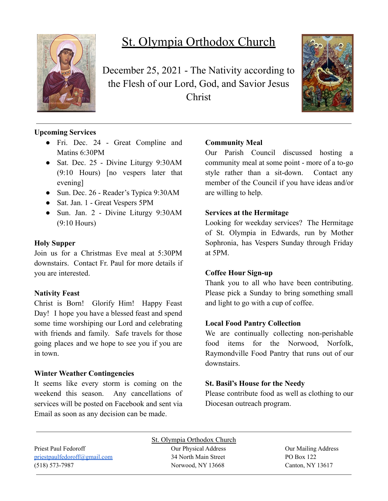

# St. Olympia Orthodox Church

December 25, 2021 - The Nativity according to the Flesh of our Lord, God, and Savior Jesus Christ



## **Upcoming Services**

- Fri. Dec. 24 Great Compline and Matins 6:30PM
- Sat. Dec. 25 Divine Liturgy 9:30AM (9:10 Hours) [no vespers later that evening]
- Sun. Dec. 26 Reader's Typica 9:30AM
- Sat. Jan. 1 Great Vespers 5PM
- Sun. Jan. 2 Divine Liturgy 9:30AM (9:10 Hours)

#### **Holy Supper**

Join us for a Christmas Eve meal at 5:30PM downstairs. Contact Fr. Paul for more details if you are interested.

#### **Nativity Feast**

Christ is Born! Glorify Him! Happy Feast Day! I hope you have a blessed feast and spend some time worshiping our Lord and celebrating with friends and family. Safe travels for those going places and we hope to see you if you are in town.

#### **Winter Weather Contingencies**

It seems like every storm is coming on the weekend this season. Any cancellations of services will be posted on Facebook and sent via Email as soon as any decision can be made.

## **Community Meal**

Our Parish Council discussed hosting a community meal at some point - more of a to-go style rather than a sit-down. Contact any member of the Council if you have ideas and/or are willing to help.

#### **Services at the Hermitage**

Looking for weekday services? The Hermitage of St. Olympia in Edwards, run by Mother Sophronia, has Vespers Sunday through Friday at 5PM.

#### **Coffee Hour Sign-up**

Thank you to all who have been contributing. Please pick a Sunday to bring something small and light to go with a cup of coffee.

## **Local Food Pantry Collection**

We are continually collecting non-perishable food items for the Norwood, Norfolk, Raymondville Food Pantry that runs out of our downstairs.

## **St. Basil's House for the Needy**

Please contribute food as well as clothing to our Diocesan outreach program.

St. Olympia Orthodox Church Priest Paul Fedoroff **Our Physical Address** Our Physical Address **Our Mailing Address** [priestpaulfedoroff@gmail.com](mailto:priestpaulfedoroff@gmail.com) 34 North Main Street PO Box 122 (518) 573-7987 Norwood, NY 13668 Canton, NY 13617